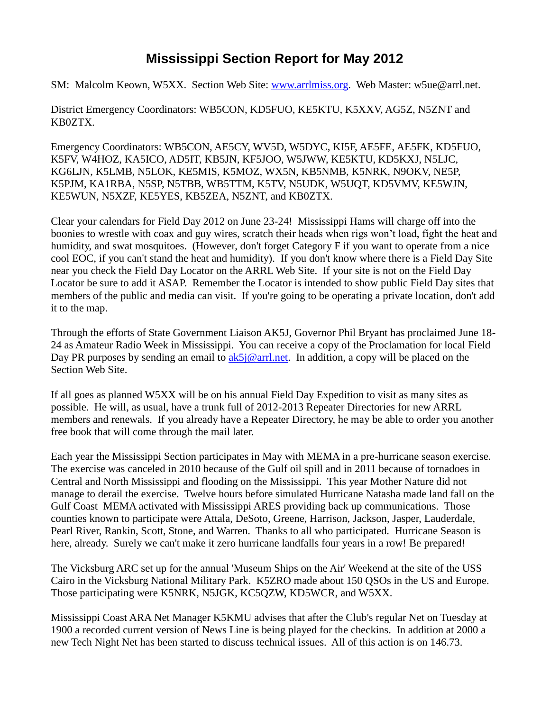## **Mississippi Section Report for May 2012**

SM: Malcolm Keown, W5XX. Section Web Site: [www.arrlmiss.org.](http://www.arrlmiss.org/) Web Master: w5ue@arrl.net.

District Emergency Coordinators: WB5CON, KD5FUO, KE5KTU, K5XXV, AG5Z, N5ZNT and KB0ZTX.

Emergency Coordinators: WB5CON, AE5CY, WV5D, W5DYC, KI5F, AE5FE, AE5FK, KD5FUO, K5FV, W4HOZ, KA5ICO, AD5IT, KB5JN, KF5JOO, W5JWW, KE5KTU, KD5KXJ, N5LJC, KG6LJN, K5LMB, N5LOK, KE5MIS, K5MOZ, WX5N, KB5NMB, K5NRK, N9OKV, NE5P, K5PJM, KA1RBA, N5SP, N5TBB, WB5TTM, K5TV, N5UDK, W5UQT, KD5VMV, KE5WJN, KE5WUN, N5XZF, KE5YES, KB5ZEA, N5ZNT, and KB0ZTX.

Clear your calendars for Field Day 2012 on June 23-24! Mississippi Hams will charge off into the boonies to wrestle with coax and guy wires, scratch their heads when rigs won't load, fight the heat and humidity, and swat mosquitoes. (However, don't forget Category F if you want to operate from a nice cool EOC, if you can't stand the heat and humidity). If you don't know where there is a Field Day Site near you check the Field Day Locator on the ARRL Web Site. If your site is not on the Field Day Locator be sure to add it ASAP. Remember the Locator is intended to show public Field Day sites that members of the public and media can visit. If you're going to be operating a private location, don't add it to the map.

Through the efforts of State Government Liaison AK5J, Governor Phil Bryant has proclaimed June 18- 24 as Amateur Radio Week in Mississippi. You can receive a copy of the Proclamation for local Field Day PR purposes by sending an email to  $ak5j@arrl.net$ . In addition, a copy will be placed on the Section Web Site.

If all goes as planned W5XX will be on his annual Field Day Expedition to visit as many sites as possible. He will, as usual, have a trunk full of 2012-2013 Repeater Directories for new ARRL members and renewals. If you already have a Repeater Directory, he may be able to order you another free book that will come through the mail later.

Each year the Mississippi Section participates in May with MEMA in a pre-hurricane season exercise. The exercise was canceled in 2010 because of the Gulf oil spill and in 2011 because of tornadoes in Central and North Mississippi and flooding on the Mississippi. This year Mother Nature did not manage to derail the exercise. Twelve hours before simulated Hurricane Natasha made land fall on the Gulf Coast MEMA activated with Mississippi ARES providing back up communications. Those counties known to participate were Attala, DeSoto, Greene, Harrison, Jackson, Jasper, Lauderdale, Pearl River, Rankin, Scott, Stone, and Warren. Thanks to all who participated. Hurricane Season is here, already. Surely we can't make it zero hurricane landfalls four years in a row! Be prepared!

The Vicksburg ARC set up for the annual 'Museum Ships on the Air' Weekend at the site of the USS Cairo in the Vicksburg National Military Park. K5ZRO made about 150 QSOs in the US and Europe. Those participating were K5NRK, N5JGK, KC5QZW, KD5WCR, and W5XX.

Mississippi Coast ARA Net Manager K5KMU advises that after the Club's regular Net on Tuesday at 1900 a recorded current version of News Line is being played for the checkins. In addition at 2000 a new Tech Night Net has been started to discuss technical issues. All of this action is on 146.73.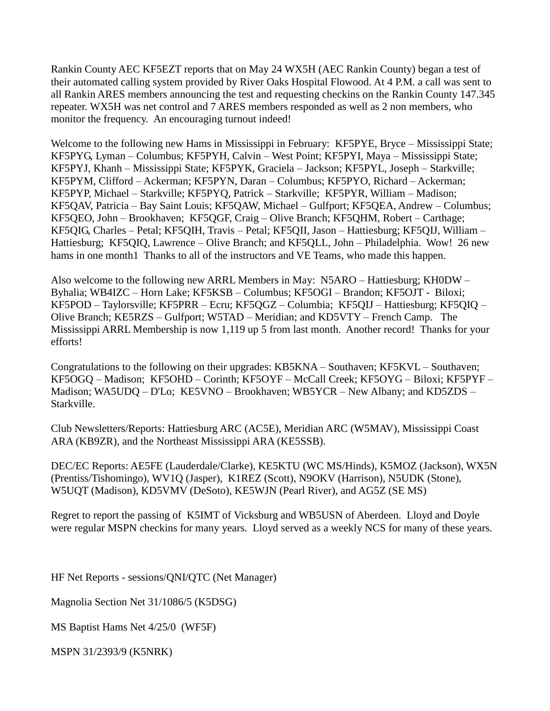Rankin County AEC KF5EZT reports that on May 24 WX5H (AEC Rankin County) began a test of their automated calling system provided by River Oaks Hospital Flowood. At 4 P.M. a call was sent to all Rankin ARES members announcing the test and requesting checkins on the Rankin County 147.345 repeater. WX5H was net control and 7 ARES members responded as well as 2 non members, who monitor the frequency. An encouraging turnout indeed!

Welcome to the following new Hams in Mississippi in February: KF5PYE, Bryce – Mississippi State; KF5PYG, Lyman – Columbus; KF5PYH, Calvin – West Point; KF5PYI, Maya – Mississippi State; KF5PYJ, Khanh – Mississippi State; KF5PYK, Graciela – Jackson; KF5PYL, Joseph – Starkville; KF5PYM, Clifford – Ackerman; KF5PYN, Daran – Columbus; KF5PYO, Richard – Ackerman; KF5PYP, Michael – Starkville; KF5PYQ, Patrick – Starkville; KF5PYR, William – Madison; KF5QAV, Patricia – Bay Saint Louis; KF5QAW, Michael – Gulfport; KF5QEA, Andrew – Columbus; KF5QEO, John – Brookhaven; KF5QGF, Craig – Olive Branch; KF5QHM, Robert – Carthage; KF5QIG, Charles – Petal; KF5QIH, Travis – Petal; KF5QII, Jason – Hattiesburg; KF5QIJ, William – Hattiesburg; KF5QIQ, Lawrence – Olive Branch; and KF5QLL, John – Philadelphia. Wow! 26 new hams in one month1 Thanks to all of the instructors and VE Teams, who made this happen.

Also welcome to the following new ARRL Members in May: N5ARO – Hattiesburg; KH0DW – Byhalia; WB4IZC – Horn Lake; KF5KSB – Columbus; KF5OGI – Brandon; KF5OJT - Biloxi; KF5POD – Taylorsville; KF5PRR – Ecru; KF5QGZ – Columbia; KF5QIJ – Hattiesburg; KF5QIQ – Olive Branch; KE5RZS – Gulfport; W5TAD – Meridian; and KD5VTY – French Camp. The Mississippi ARRL Membership is now 1,119 up 5 from last month. Another record! Thanks for your efforts!

Congratulations to the following on their upgrades: KB5KNA – Southaven; KF5KVL – Southaven; KF5OGQ – Madison; KF5OHD – Corinth; KF5OYF – McCall Creek; KF5OYG – Biloxi; KF5PYF – Madison; WA5UDQ – D'Lo; KE5VNO – Brookhaven; WB5YCR – New Albany; and KD5ZDS – Starkville.

Club Newsletters/Reports: Hattiesburg ARC (AC5E), Meridian ARC (W5MAV), Mississippi Coast ARA (KB9ZR), and the Northeast Mississippi ARA (KE5SSB).

DEC/EC Reports: AE5FE (Lauderdale/Clarke), KE5KTU (WC MS/Hinds), K5MOZ (Jackson), WX5N (Prentiss/Tishomingo), WV1Q (Jasper), K1REZ (Scott), N9OKV (Harrison), N5UDK (Stone), W5UQT (Madison), KD5VMV (DeSoto), KE5WJN (Pearl River), and AG5Z (SE MS)

Regret to report the passing of K5IMT of Vicksburg and WB5USN of Aberdeen. Lloyd and Doyle were regular MSPN checkins for many years. Lloyd served as a weekly NCS for many of these years.

HF Net Reports - sessions/QNI/QTC (Net Manager)

Magnolia Section Net 31/1086/5 (K5DSG)

MS Baptist Hams Net 4/25/0 (WF5F)

MSPN 31/2393/9 (K5NRK)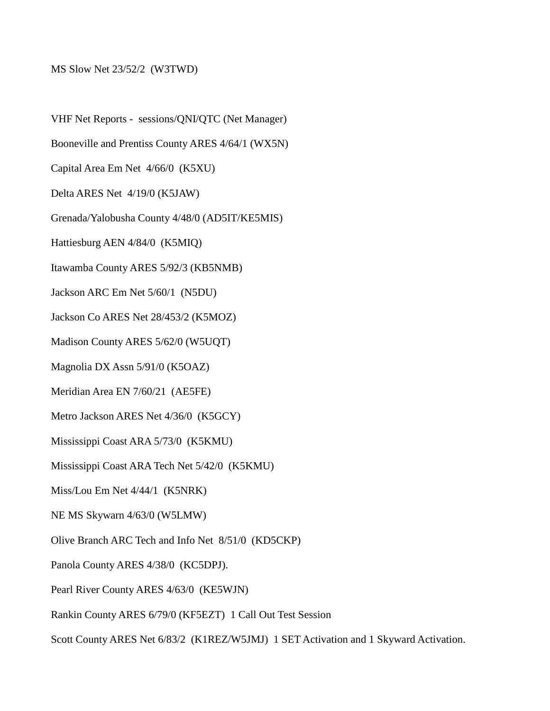## MS Slow Net 23/52/2 (W3TWD)

VHF Net Reports - sessions/QNI/QTC (Net Manager) Booneville and Prentiss County ARES 4/64/1 (WX5N) Capital Area Em Net 4/66/0 (K5XU) Delta ARES Net 4/19/0 (K5JAW) Grenada/Yalobusha County 4/48/0 (AD5IT/KE5MIS) Hattiesburg AEN 4/84/0 (K5MIQ) Itawamba County ARES 5/92/3 (KB5NMB) Jackson ARC Em Net 5/60/1 (N5DU) Jackson Co ARES Net 28/453/2 (K5MOZ) Madison County ARES 5/62/0 (W5UQT) Magnolia DX Assn 5/91/0 (K5OAZ) Meridian Area EN 7/60/21 (AE5FE) Metro Jackson ARES Net 4/36/0 (K5GCY) Mississippi Coast ARA 5/73/0 (K5KMU) Mississippi Coast ARA Tech Net 5/42/0 (K5KMU) Miss/Lou Em Net 4/44/1 (K5NRK) NE MS Skywarn 4/63/0 (W5LMW) Olive Branch ARC Tech and Info Net 8/51/0 (KD5CKP) Panola County ARES 4/38/0 (KC5DPJ). Pearl River County ARES 4/63/0 (KE5WJN)

Rankin County ARES 6/79/0 (KF5EZT) 1 Call Out Test Session

Scott County ARES Net 6/83/2 (K1REZ/W5JMJ) 1 SET Activation and 1 Skyward Activation.